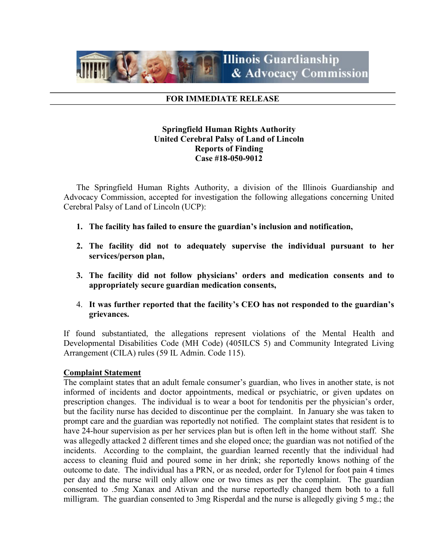

#### FOR IMMEDIATE RELEASE

# Springfield Human Rights Authority United Cerebral Palsy of Land of Lincoln Reports of Finding Case #18-050-9012

The Springfield Human Rights Authority, a division of the Illinois Guardianship and Advocacy Commission, accepted for investigation the following allegations concerning United Cerebral Palsy of Land of Lincoln (UCP):

- 1. The facility has failed to ensure the guardian's inclusion and notification,
- 2. The facility did not to adequately supervise the individual pursuant to her services/person plan,
- 3. The facility did not follow physicians' orders and medication consents and to appropriately secure guardian medication consents,
- 4. It was further reported that the facility's CEO has not responded to the guardian's grievances.

If found substantiated, the allegations represent violations of the Mental Health and Developmental Disabilities Code (MH Code) (405ILCS 5) and Community Integrated Living Arrangement (CILA) rules (59 IL Admin. Code 115).

#### Complaint Statement

The complaint states that an adult female consumer's guardian, who lives in another state, is not informed of incidents and doctor appointments, medical or psychiatric, or given updates on prescription changes. The individual is to wear a boot for tendonitis per the physician's order, but the facility nurse has decided to discontinue per the complaint. In January she was taken to prompt care and the guardian was reportedly not notified. The complaint states that resident is to have 24-hour supervision as per her services plan but is often left in the home without staff. She was allegedly attacked 2 different times and she eloped once; the guardian was not notified of the incidents. According to the complaint, the guardian learned recently that the individual had access to cleaning fluid and poured some in her drink; she reportedly knows nothing of the outcome to date. The individual has a PRN, or as needed, order for Tylenol for foot pain 4 times per day and the nurse will only allow one or two times as per the complaint. The guardian consented to .5mg Xanax and Ativan and the nurse reportedly changed them both to a full milligram. The guardian consented to 3mg Risperdal and the nurse is allegedly giving 5 mg.; the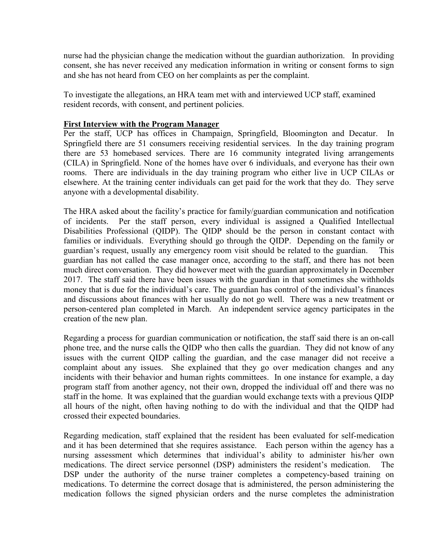nurse had the physician change the medication without the guardian authorization. In providing consent, she has never received any medication information in writing or consent forms to sign and she has not heard from CEO on her complaints as per the complaint.

To investigate the allegations, an HRA team met with and interviewed UCP staff, examined resident records, with consent, and pertinent policies.

## First Interview with the Program Manager

Per the staff, UCP has offices in Champaign, Springfield, Bloomington and Decatur. In Springfield there are 51 consumers receiving residential services. In the day training program there are 53 homebased services. There are 16 community integrated living arrangements (CILA) in Springfield. None of the homes have over 6 individuals, and everyone has their own rooms. There are individuals in the day training program who either live in UCP CILAs or elsewhere. At the training center individuals can get paid for the work that they do. They serve anyone with a developmental disability.

The HRA asked about the facility's practice for family/guardian communication and notification of incidents. Per the staff person, every individual is assigned a Qualified Intellectual Disabilities Professional (QIDP). The QIDP should be the person in constant contact with families or individuals. Everything should go through the QIDP. Depending on the family or guardian's request, usually any emergency room visit should be related to the guardian. This guardian has not called the case manager once, according to the staff, and there has not been much direct conversation. They did however meet with the guardian approximately in December 2017. The staff said there have been issues with the guardian in that sometimes she withholds money that is due for the individual's care. The guardian has control of the individual's finances and discussions about finances with her usually do not go well. There was a new treatment or person-centered plan completed in March. An independent service agency participates in the creation of the new plan.

Regarding a process for guardian communication or notification, the staff said there is an on-call phone tree, and the nurse calls the QIDP who then calls the guardian. They did not know of any issues with the current QIDP calling the guardian, and the case manager did not receive a complaint about any issues. She explained that they go over medication changes and any incidents with their behavior and human rights committees. In one instance for example, a day program staff from another agency, not their own, dropped the individual off and there was no staff in the home. It was explained that the guardian would exchange texts with a previous QIDP all hours of the night, often having nothing to do with the individual and that the QIDP had crossed their expected boundaries.

Regarding medication, staff explained that the resident has been evaluated for self-medication and it has been determined that she requires assistance. Each person within the agency has a nursing assessment which determines that individual's ability to administer his/her own medications. The direct service personnel (DSP) administers the resident's medication. The DSP under the authority of the nurse trainer completes a competency-based training on medications. To determine the correct dosage that is administered, the person administering the medication follows the signed physician orders and the nurse completes the administration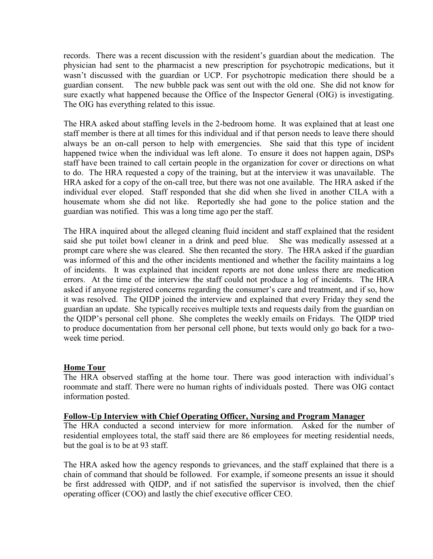records. There was a recent discussion with the resident's guardian about the medication. The physician had sent to the pharmacist a new prescription for psychotropic medications, but it wasn't discussed with the guardian or UCP. For psychotropic medication there should be a guardian consent. The new bubble pack was sent out with the old one. She did not know for sure exactly what happened because the Office of the Inspector General (OIG) is investigating. The OIG has everything related to this issue.

The HRA asked about staffing levels in the 2-bedroom home. It was explained that at least one staff member is there at all times for this individual and if that person needs to leave there should always be an on-call person to help with emergencies. She said that this type of incident happened twice when the individual was left alone. To ensure it does not happen again, DSPs staff have been trained to call certain people in the organization for cover or directions on what to do. The HRA requested a copy of the training, but at the interview it was unavailable. The HRA asked for a copy of the on-call tree, but there was not one available. The HRA asked if the individual ever eloped. Staff responded that she did when she lived in another CILA with a housemate whom she did not like. Reportedly she had gone to the police station and the guardian was notified. This was a long time ago per the staff.

The HRA inquired about the alleged cleaning fluid incident and staff explained that the resident said she put toilet bowl cleaner in a drink and peed blue. She was medically assessed at a prompt care where she was cleared. She then recanted the story. The HRA asked if the guardian was informed of this and the other incidents mentioned and whether the facility maintains a log of incidents. It was explained that incident reports are not done unless there are medication errors. At the time of the interview the staff could not produce a log of incidents. The HRA asked if anyone registered concerns regarding the consumer's care and treatment, and if so, how it was resolved. The QIDP joined the interview and explained that every Friday they send the guardian an update. She typically receives multiple texts and requests daily from the guardian on the QIDP's personal cell phone. She completes the weekly emails on Fridays. The QIDP tried to produce documentation from her personal cell phone, but texts would only go back for a twoweek time period.

#### Home Tour

The HRA observed staffing at the home tour. There was good interaction with individual's roommate and staff. There were no human rights of individuals posted. There was OIG contact information posted.

#### Follow-Up Interview with Chief Operating Officer, Nursing and Program Manager

The HRA conducted a second interview for more information. Asked for the number of residential employees total, the staff said there are 86 employees for meeting residential needs, but the goal is to be at 93 staff.

The HRA asked how the agency responds to grievances, and the staff explained that there is a chain of command that should be followed. For example, if someone presents an issue it should be first addressed with QIDP, and if not satisfied the supervisor is involved, then the chief operating officer (COO) and lastly the chief executive officer CEO.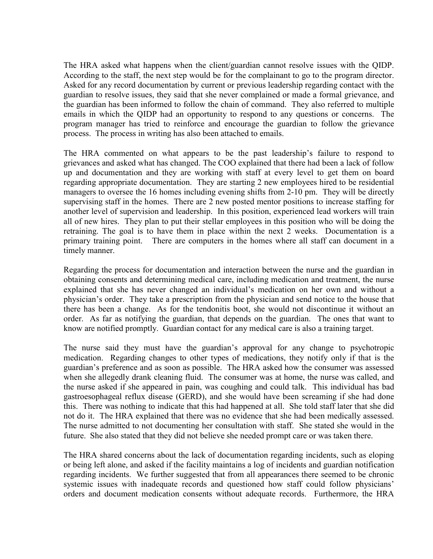The HRA asked what happens when the client/guardian cannot resolve issues with the QIDP. According to the staff, the next step would be for the complainant to go to the program director. Asked for any record documentation by current or previous leadership regarding contact with the guardian to resolve issues, they said that she never complained or made a formal grievance, and the guardian has been informed to follow the chain of command. They also referred to multiple emails in which the QIDP had an opportunity to respond to any questions or concerns. The program manager has tried to reinforce and encourage the guardian to follow the grievance process. The process in writing has also been attached to emails.

The HRA commented on what appears to be the past leadership's failure to respond to grievances and asked what has changed. The COO explained that there had been a lack of follow up and documentation and they are working with staff at every level to get them on board regarding appropriate documentation. They are starting 2 new employees hired to be residential managers to oversee the 16 homes including evening shifts from 2-10 pm. They will be directly supervising staff in the homes. There are 2 new posted mentor positions to increase staffing for another level of supervision and leadership. In this position, experienced lead workers will train all of new hires. They plan to put their stellar employees in this position who will be doing the retraining. The goal is to have them in place within the next 2 weeks. Documentation is a primary training point. There are computers in the homes where all staff can document in a timely manner.

Regarding the process for documentation and interaction between the nurse and the guardian in obtaining consents and determining medical care, including medication and treatment, the nurse explained that she has never changed an individual's medication on her own and without a physician's order. They take a prescription from the physician and send notice to the house that there has been a change. As for the tendonitis boot, she would not discontinue it without an order. As far as notifying the guardian, that depends on the guardian. The ones that want to know are notified promptly. Guardian contact for any medical care is also a training target.

The nurse said they must have the guardian's approval for any change to psychotropic medication. Regarding changes to other types of medications, they notify only if that is the guardian's preference and as soon as possible. The HRA asked how the consumer was assessed when she allegedly drank cleaning fluid. The consumer was at home, the nurse was called, and the nurse asked if she appeared in pain, was coughing and could talk. This individual has bad gastroesophageal reflux disease (GERD), and she would have been screaming if she had done this. There was nothing to indicate that this had happened at all. She told staff later that she did not do it. The HRA explained that there was no evidence that she had been medically assessed. The nurse admitted to not documenting her consultation with staff. She stated she would in the future. She also stated that they did not believe she needed prompt care or was taken there.

The HRA shared concerns about the lack of documentation regarding incidents, such as eloping or being left alone, and asked if the facility maintains a log of incidents and guardian notification regarding incidents. We further suggested that from all appearances there seemed to be chronic systemic issues with inadequate records and questioned how staff could follow physicians' orders and document medication consents without adequate records. Furthermore, the HRA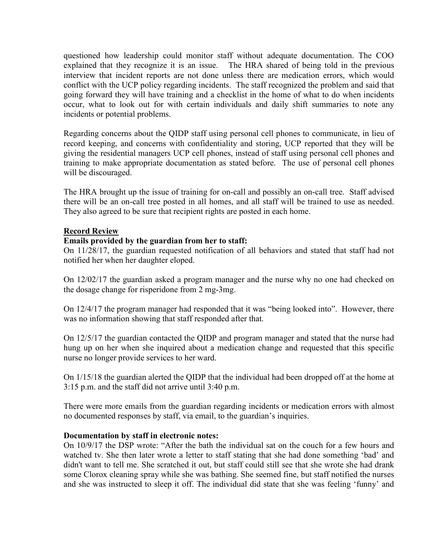questioned how leadership could monitor staff without adequate documentation. The COO explained that they recognize it is an issue. The HRA shared of being told in the previous interview that incident reports are not done unless there are medication errors, which would conflict with the UCP policy regarding incidents. The staff recognized the problem and said that going forward they will have training and a checklist in the home of what to do when incidents occur, what to look out for with certain individuals and daily shift summaries to note any incidents or potential problems.

Regarding concerns about the QIDP staff using personal cell phones to communicate, in lieu of record keeping, and concerns with confidentiality and storing, UCP reported that they will be giving the residential managers UCP cell phones, instead of staff using personal cell phones and training to make appropriate documentation as stated before. The use of personal cell phones will be discouraged.

The HRA brought up the issue of training for on-call and possibly an on-call tree. Staff advised there will be an on-call tree posted in all homes, and all staff will be trained to use as needed. They also agreed to be sure that recipient rights are posted in each home.

## Record Review

## Emails provided by the guardian from her to staff:

On 11/28/17, the guardian requested notification of all behaviors and stated that staff had not notified her when her daughter eloped.

On 12/02/17 the guardian asked a program manager and the nurse why no one had checked on the dosage change for risperidone from 2 mg-3mg.

On 12/4/17 the program manager had responded that it was "being looked into". However, there was no information showing that staff responded after that.

On 12/5/17 the guardian contacted the QIDP and program manager and stated that the nurse had hung up on her when she inquired about a medication change and requested that this specific nurse no longer provide services to her ward.

On 1/15/18 the guardian alerted the QIDP that the individual had been dropped off at the home at 3:15 p.m. and the staff did not arrive until 3:40 p.m.

There were more emails from the guardian regarding incidents or medication errors with almost no documented responses by staff, via email, to the guardian's inquiries.

#### Documentation by staff in electronic notes:

On 10/9/17 the DSP wrote: "After the bath the individual sat on the couch for a few hours and watched tv. She then later wrote a letter to staff stating that she had done something 'bad' and didn't want to tell me. She scratched it out, but staff could still see that she wrote she had drank some Clorox cleaning spray while she was bathing. She seemed fine, but staff notified the nurses and she was instructed to sleep it off. The individual did state that she was feeling 'funny' and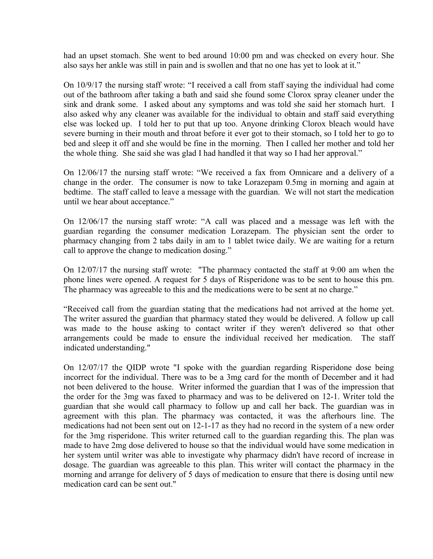had an upset stomach. She went to bed around 10:00 pm and was checked on every hour. She also says her ankle was still in pain and is swollen and that no one has yet to look at it."

On 10/9/17 the nursing staff wrote: "I received a call from staff saying the individual had come out of the bathroom after taking a bath and said she found some Clorox spray cleaner under the sink and drank some. I asked about any symptoms and was told she said her stomach hurt. I also asked why any cleaner was available for the individual to obtain and staff said everything else was locked up. I told her to put that up too. Anyone drinking Clorox bleach would have severe burning in their mouth and throat before it ever got to their stomach, so I told her to go to bed and sleep it off and she would be fine in the morning. Then I called her mother and told her the whole thing. She said she was glad I had handled it that way so I had her approval."

On 12/06/17 the nursing staff wrote: "We received a fax from Omnicare and a delivery of a change in the order. The consumer is now to take Lorazepam 0.5mg in morning and again at bedtime. The staff called to leave a message with the guardian. We will not start the medication until we hear about acceptance."

On 12/06/17 the nursing staff wrote: "A call was placed and a message was left with the guardian regarding the consumer medication Lorazepam. The physician sent the order to pharmacy changing from 2 tabs daily in am to 1 tablet twice daily. We are waiting for a return call to approve the change to medication dosing."

On 12/07/17 the nursing staff wrote: "The pharmacy contacted the staff at 9:00 am when the phone lines were opened. A request for 5 days of Risperidone was to be sent to house this pm. The pharmacy was agreeable to this and the medications were to be sent at no charge."

"Received call from the guardian stating that the medications had not arrived at the home yet. The writer assured the guardian that pharmacy stated they would be delivered. A follow up call was made to the house asking to contact writer if they weren't delivered so that other arrangements could be made to ensure the individual received her medication. The staff indicated understanding."

On 12/07/17 the QIDP wrote "I spoke with the guardian regarding Risperidone dose being incorrect for the individual. There was to be a 3mg card for the month of December and it had not been delivered to the house. Writer informed the guardian that I was of the impression that the order for the 3mg was faxed to pharmacy and was to be delivered on 12-1. Writer told the guardian that she would call pharmacy to follow up and call her back. The guardian was in agreement with this plan. The pharmacy was contacted, it was the afterhours line. The medications had not been sent out on 12-1-17 as they had no record in the system of a new order for the 3mg risperidone. This writer returned call to the guardian regarding this. The plan was made to have 2mg dose delivered to house so that the individual would have some medication in her system until writer was able to investigate why pharmacy didn't have record of increase in dosage. The guardian was agreeable to this plan. This writer will contact the pharmacy in the morning and arrange for delivery of 5 days of medication to ensure that there is dosing until new medication card can be sent out."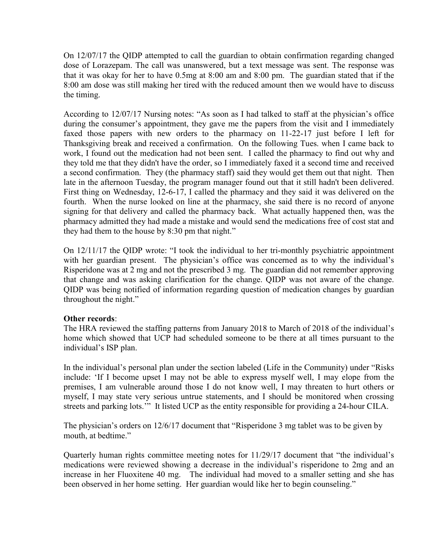On 12/07/17 the QIDP attempted to call the guardian to obtain confirmation regarding changed dose of Lorazepam. The call was unanswered, but a text message was sent. The response was that it was okay for her to have 0.5mg at 8:00 am and 8:00 pm. The guardian stated that if the 8:00 am dose was still making her tired with the reduced amount then we would have to discuss the timing.

According to 12/07/17 Nursing notes: "As soon as I had talked to staff at the physician's office during the consumer's appointment, they gave me the papers from the visit and I immediately faxed those papers with new orders to the pharmacy on 11-22-17 just before I left for Thanksgiving break and received a confirmation. On the following Tues. when I came back to work, I found out the medication had not been sent. I called the pharmacy to find out why and they told me that they didn't have the order, so I immediately faxed it a second time and received a second confirmation. They (the pharmacy staff) said they would get them out that night. Then late in the afternoon Tuesday, the program manager found out that it still hadn't been delivered. First thing on Wednesday, 12-6-17, I called the pharmacy and they said it was delivered on the fourth. When the nurse looked on line at the pharmacy, she said there is no record of anyone signing for that delivery and called the pharmacy back. What actually happened then, was the pharmacy admitted they had made a mistake and would send the medications free of cost stat and they had them to the house by 8:30 pm that night."

On 12/11/17 the QIDP wrote: "I took the individual to her tri-monthly psychiatric appointment with her guardian present. The physician's office was concerned as to why the individual's Risperidone was at 2 mg and not the prescribed 3 mg. The guardian did not remember approving that change and was asking clarification for the change. QIDP was not aware of the change. QIDP was being notified of information regarding question of medication changes by guardian throughout the night."

#### Other records:

The HRA reviewed the staffing patterns from January 2018 to March of 2018 of the individual's home which showed that UCP had scheduled someone to be there at all times pursuant to the individual's ISP plan.

In the individual's personal plan under the section labeled (Life in the Community) under "Risks include: 'If I become upset I may not be able to express myself well, I may elope from the premises, I am vulnerable around those I do not know well, I may threaten to hurt others or myself, I may state very serious untrue statements, and I should be monitored when crossing streets and parking lots.'" It listed UCP as the entity responsible for providing a 24-hour CILA.

The physician's orders on 12/6/17 document that "Risperidone 3 mg tablet was to be given by mouth, at bedtime."

Quarterly human rights committee meeting notes for 11/29/17 document that "the individual's medications were reviewed showing a decrease in the individual's risperidone to 2mg and an increase in her Fluoxitene 40 mg. The individual had moved to a smaller setting and she has been observed in her home setting. Her guardian would like her to begin counseling."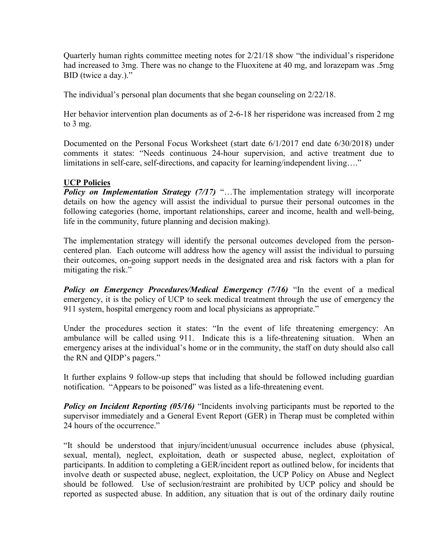Quarterly human rights committee meeting notes for 2/21/18 show "the individual's risperidone had increased to 3mg. There was no change to the Fluoxitene at 40 mg, and lorazepam was .5mg BID (twice a day.)."

The individual's personal plan documents that she began counseling on 2/22/18.

Her behavior intervention plan documents as of 2-6-18 her risperidone was increased from 2 mg to 3 mg.

Documented on the Personal Focus Worksheet (start date 6/1/2017 end date 6/30/2018) under comments it states: "Needs continuous 24-hour supervision, and active treatment due to limitations in self-care, self-directions, and capacity for learning/independent living...."

# UCP Policies

**Policy on Implementation Strategy (7/17)** "...The implementation strategy will incorporate details on how the agency will assist the individual to pursue their personal outcomes in the following categories (home, important relationships, career and income, health and well-being, life in the community, future planning and decision making).

The implementation strategy will identify the personal outcomes developed from the personcentered plan. Each outcome will address how the agency will assist the individual to pursuing their outcomes, on-going support needs in the designated area and risk factors with a plan for mitigating the risk."

Policy on Emergency Procedures/Medical Emergency (7/16) "In the event of a medical emergency, it is the policy of UCP to seek medical treatment through the use of emergency the 911 system, hospital emergency room and local physicians as appropriate."

Under the procedures section it states: "In the event of life threatening emergency: An ambulance will be called using 911. Indicate this is a life-threatening situation. When an emergency arises at the individual's home or in the community, the staff on duty should also call the RN and QIDP's pagers."

It further explains 9 follow-up steps that including that should be followed including guardian notification. "Appears to be poisoned" was listed as a life-threatening event.

**Policy on Incident Reporting (05/16)** "Incidents involving participants must be reported to the supervisor immediately and a General Event Report (GER) in Therap must be completed within 24 hours of the occurrence."

"It should be understood that injury/incident/unusual occurrence includes abuse (physical, sexual, mental), neglect, exploitation, death or suspected abuse, neglect, exploitation of participants. In addition to completing a GER/incident report as outlined below, for incidents that involve death or suspected abuse, neglect, exploitation, the UCP Policy on Abuse and Neglect should be followed. Use of seclusion/restraint are prohibited by UCP policy and should be reported as suspected abuse. In addition, any situation that is out of the ordinary daily routine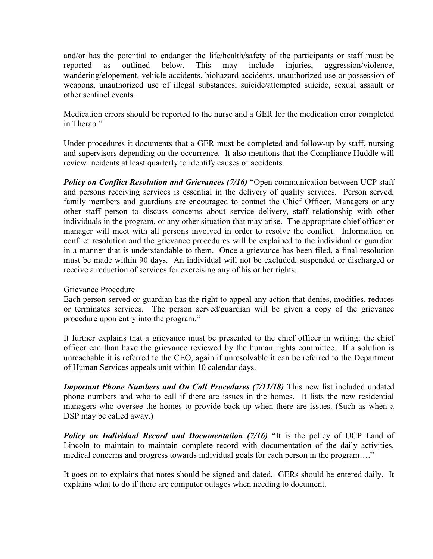and/or has the potential to endanger the life/health/safety of the participants or staff must be reported as outlined below. This may include injuries, aggression/violence, wandering/elopement, vehicle accidents, biohazard accidents, unauthorized use or possession of weapons, unauthorized use of illegal substances, suicide/attempted suicide, sexual assault or other sentinel events.

Medication errors should be reported to the nurse and a GER for the medication error completed in Therap."

Under procedures it documents that a GER must be completed and follow-up by staff, nursing and supervisors depending on the occurrence. It also mentions that the Compliance Huddle will review incidents at least quarterly to identify causes of accidents.

Policy on Conflict Resolution and Grievances (7/16) "Open communication between UCP staff and persons receiving services is essential in the delivery of quality services. Person served, family members and guardians are encouraged to contact the Chief Officer, Managers or any other staff person to discuss concerns about service delivery, staff relationship with other individuals in the program, or any other situation that may arise. The appropriate chief officer or manager will meet with all persons involved in order to resolve the conflict. Information on conflict resolution and the grievance procedures will be explained to the individual or guardian in a manner that is understandable to them. Once a grievance has been filed, a final resolution must be made within 90 days. An individual will not be excluded, suspended or discharged or receive a reduction of services for exercising any of his or her rights.

#### Grievance Procedure

Each person served or guardian has the right to appeal any action that denies, modifies, reduces or terminates services. The person served/guardian will be given a copy of the grievance procedure upon entry into the program."

It further explains that a grievance must be presented to the chief officer in writing; the chief officer can than have the grievance reviewed by the human rights committee. If a solution is unreachable it is referred to the CEO, again if unresolvable it can be referred to the Department of Human Services appeals unit within 10 calendar days.

**Important Phone Numbers and On Call Procedures (7/11/18)** This new list included updated phone numbers and who to call if there are issues in the homes. It lists the new residential managers who oversee the homes to provide back up when there are issues. (Such as when a DSP may be called away.)

**Policy on Individual Record and Documentation (7/16)** "It is the policy of UCP Land of Lincoln to maintain to maintain complete record with documentation of the daily activities, medical concerns and progress towards individual goals for each person in the program…."

It goes on to explains that notes should be signed and dated. GERs should be entered daily. It explains what to do if there are computer outages when needing to document.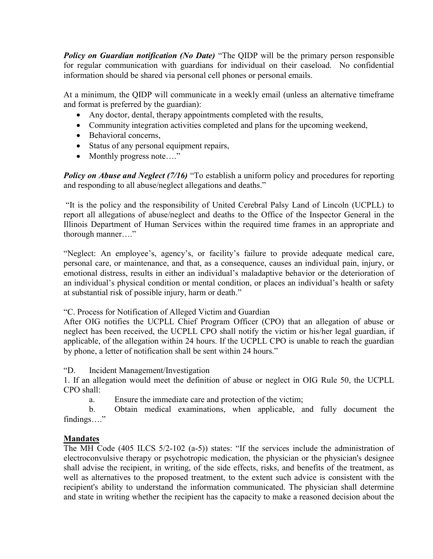**Policy on Guardian notification (No Date)** "The QIDP will be the primary person responsible for regular communication with guardians for individual on their caseload. No confidential information should be shared via personal cell phones or personal emails.

At a minimum, the QIDP will communicate in a weekly email (unless an alternative timeframe and format is preferred by the guardian):

- Any doctor, dental, therapy appointments completed with the results,
- Community integration activities completed and plans for the upcoming weekend,
- Behavioral concerns,
- Status of any personal equipment repairs,
- Monthly progress note...."

**Policy on Abuse and Neglect (7/16)** "To establish a uniform policy and procedures for reporting and responding to all abuse/neglect allegations and deaths."

 "It is the policy and the responsibility of United Cerebral Palsy Land of Lincoln (UCPLL) to report all allegations of abuse/neglect and deaths to the Office of the Inspector General in the Illinois Department of Human Services within the required time frames in an appropriate and thorough manner…."

"Neglect: An employee's, agency's, or facility's failure to provide adequate medical care, personal care, or maintenance, and that, as a consequence, causes an individual pain, injury, or emotional distress, results in either an individual's maladaptive behavior or the deterioration of an individual's physical condition or mental condition, or places an individual's health or safety at substantial risk of possible injury, harm or death."

"C. Process for Notification of Alleged Victim and Guardian

After OIG notifies the UCPLL Chief Program Officer (CPO) that an allegation of abuse or neglect has been received, the UCPLL CPO shall notify the victim or his/her legal guardian, if applicable, of the allegation within 24 hours. If the UCPLL CPO is unable to reach the guardian by phone, a letter of notification shall be sent within 24 hours."

"D. Incident Management/Investigation

1. If an allegation would meet the definition of abuse or neglect in OIG Rule 50, the UCPLL CPO shall:

a. Ensure the immediate care and protection of the victim;

 b. Obtain medical examinations, when applicable, and fully document the findings…."

# Mandates

The MH Code (405 ILCS 5/2-102 (a-5)) states: "If the services include the administration of electroconvulsive therapy or psychotropic medication, the physician or the physician's designee shall advise the recipient, in writing, of the side effects, risks, and benefits of the treatment, as well as alternatives to the proposed treatment, to the extent such advice is consistent with the recipient's ability to understand the information communicated. The physician shall determine and state in writing whether the recipient has the capacity to make a reasoned decision about the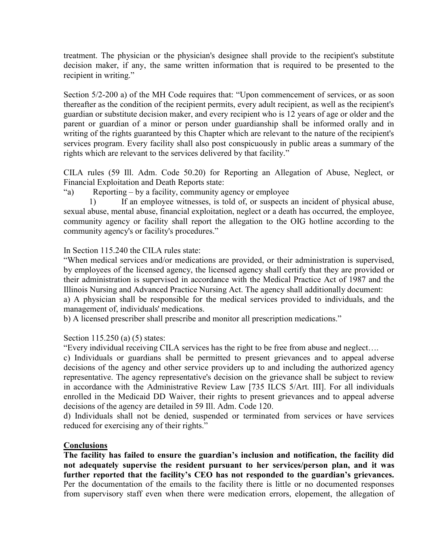treatment. The physician or the physician's designee shall provide to the recipient's substitute decision maker, if any, the same written information that is required to be presented to the recipient in writing."

Section 5/2-200 a) of the MH Code requires that: "Upon commencement of services, or as soon thereafter as the condition of the recipient permits, every adult recipient, as well as the recipient's guardian or substitute decision maker, and every recipient who is 12 years of age or older and the parent or guardian of a minor or person under guardianship shall be informed orally and in writing of the rights guaranteed by this Chapter which are relevant to the nature of the recipient's services program. Every facility shall also post conspicuously in public areas a summary of the rights which are relevant to the services delivered by that facility."

CILA rules (59 Ill. Adm. Code 50.20) for Reporting an Allegation of Abuse, Neglect, or Financial Exploitation and Death Reports state:

"a) Reporting – by a facility, community agency or employee

1) If an employee witnesses, is told of, or suspects an incident of physical abuse, sexual abuse, mental abuse, financial exploitation, neglect or a death has occurred, the employee, community agency or facility shall report the allegation to the OIG hotline according to the community agency's or facility's procedures."

## In Section 115.240 the CILA rules state:

"When medical services and/or medications are provided, or their administration is supervised, by employees of the licensed agency, the licensed agency shall certify that they are provided or their administration is supervised in accordance with the Medical Practice Act of 1987 and the Illinois Nursing and Advanced Practice Nursing Act. The agency shall additionally document: a) A physician shall be responsible for the medical services provided to individuals, and the

management of, individuals' medications.

b) A licensed prescriber shall prescribe and monitor all prescription medications."

# Section 115.250 (a) (5) states:

"Every individual receiving CILA services has the right to be free from abuse and neglect….

c) Individuals or guardians shall be permitted to present grievances and to appeal adverse decisions of the agency and other service providers up to and including the authorized agency representative. The agency representative's decision on the grievance shall be subject to review in accordance with the Administrative Review Law [735 ILCS 5/Art. III]. For all individuals enrolled in the Medicaid DD Waiver, their rights to present grievances and to appeal adverse decisions of the agency are detailed in 59 Ill. Adm. Code 120.

d) Individuals shall not be denied, suspended or terminated from services or have services reduced for exercising any of their rights."

#### **Conclusions**

The facility has failed to ensure the guardian's inclusion and notification, the facility did not adequately supervise the resident pursuant to her services/person plan, and it was further reported that the facility's CEO has not responded to the guardian's grievances. Per the documentation of the emails to the facility there is little or no documented responses from supervisory staff even when there were medication errors, elopement, the allegation of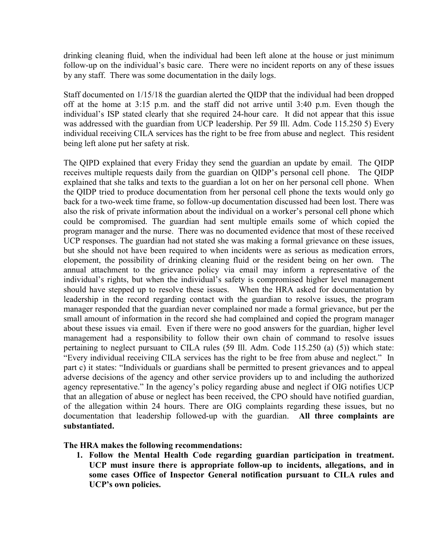drinking cleaning fluid, when the individual had been left alone at the house or just minimum follow-up on the individual's basic care. There were no incident reports on any of these issues by any staff. There was some documentation in the daily logs.

Staff documented on 1/15/18 the guardian alerted the QIDP that the individual had been dropped off at the home at 3:15 p.m. and the staff did not arrive until 3:40 p.m. Even though the individual's ISP stated clearly that she required 24-hour care. It did not appear that this issue was addressed with the guardian from UCP leadership. Per 59 Ill. Adm. Code 115.250 5) Every individual receiving CILA services has the right to be free from abuse and neglect. This resident being left alone put her safety at risk.

The QIPD explained that every Friday they send the guardian an update by email. The QIDP receives multiple requests daily from the guardian on QIDP's personal cell phone. The QIDP explained that she talks and texts to the guardian a lot on her on her personal cell phone. When the QIDP tried to produce documentation from her personal cell phone the texts would only go back for a two-week time frame, so follow-up documentation discussed had been lost. There was also the risk of private information about the individual on a worker's personal cell phone which could be compromised. The guardian had sent multiple emails some of which copied the program manager and the nurse. There was no documented evidence that most of these received UCP responses. The guardian had not stated she was making a formal grievance on these issues, but she should not have been required to when incidents were as serious as medication errors, elopement, the possibility of drinking cleaning fluid or the resident being on her own. The annual attachment to the grievance policy via email may inform a representative of the individual's rights, but when the individual's safety is compromised higher level management should have stepped up to resolve these issues. When the HRA asked for documentation by leadership in the record regarding contact with the guardian to resolve issues, the program manager responded that the guardian never complained nor made a formal grievance, but per the small amount of information in the record she had complained and copied the program manager about these issues via email. Even if there were no good answers for the guardian, higher level management had a responsibility to follow their own chain of command to resolve issues pertaining to neglect pursuant to CILA rules (59 Ill. Adm. Code 115.250 (a) (5)) which state: "Every individual receiving CILA services has the right to be free from abuse and neglect." In part c) it states: "Individuals or guardians shall be permitted to present grievances and to appeal adverse decisions of the agency and other service providers up to and including the authorized agency representative." In the agency's policy regarding abuse and neglect if OIG notifies UCP that an allegation of abuse or neglect has been received, the CPO should have notified guardian, of the allegation within 24 hours. There are OIG complaints regarding these issues, but no documentation that leadership followed-up with the guardian. All three complaints are substantiated.

# The HRA makes the following recommendations:

1. Follow the Mental Health Code regarding guardian participation in treatment. UCP must insure there is appropriate follow-up to incidents, allegations, and in some cases Office of Inspector General notification pursuant to CILA rules and UCP's own policies.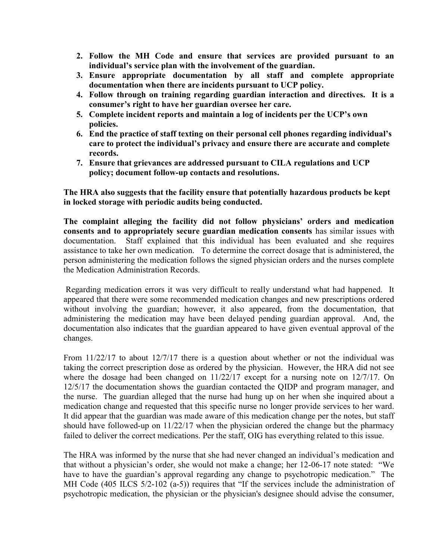- 2. Follow the MH Code and ensure that services are provided pursuant to an individual's service plan with the involvement of the guardian.
- 3. Ensure appropriate documentation by all staff and complete appropriate documentation when there are incidents pursuant to UCP policy.
- 4. Follow through on training regarding guardian interaction and directives. It is a consumer's right to have her guardian oversee her care.
- 5. Complete incident reports and maintain a log of incidents per the UCP's own policies.
- 6. End the practice of staff texting on their personal cell phones regarding individual's care to protect the individual's privacy and ensure there are accurate and complete records.
- 7. Ensure that grievances are addressed pursuant to CILA regulations and UCP policy; document follow-up contacts and resolutions.

The HRA also suggests that the facility ensure that potentially hazardous products be kept in locked storage with periodic audits being conducted.

The complaint alleging the facility did not follow physicians' orders and medication consents and to appropriately secure guardian medication consents has similar issues with documentation. Staff explained that this individual has been evaluated and she requires assistance to take her own medication. To determine the correct dosage that is administered, the person administering the medication follows the signed physician orders and the nurses complete the Medication Administration Records.

 Regarding medication errors it was very difficult to really understand what had happened. It appeared that there were some recommended medication changes and new prescriptions ordered without involving the guardian; however, it also appeared, from the documentation, that administering the medication may have been delayed pending guardian approval. And, the documentation also indicates that the guardian appeared to have given eventual approval of the changes.

From 11/22/17 to about 12/7/17 there is a question about whether or not the individual was taking the correct prescription dose as ordered by the physician. However, the HRA did not see where the dosage had been changed on 11/22/17 except for a nursing note on 12/7/17. On 12/5/17 the documentation shows the guardian contacted the QIDP and program manager, and the nurse. The guardian alleged that the nurse had hung up on her when she inquired about a medication change and requested that this specific nurse no longer provide services to her ward. It did appear that the guardian was made aware of this medication change per the notes, but staff should have followed-up on 11/22/17 when the physician ordered the change but the pharmacy failed to deliver the correct medications. Per the staff, OIG has everything related to this issue.

The HRA was informed by the nurse that she had never changed an individual's medication and that without a physician's order, she would not make a change; her 12-06-17 note stated: "We have to have the guardian's approval regarding any change to psychotropic medication." The MH Code (405 ILCS 5/2-102 (a-5)) requires that "If the services include the administration of psychotropic medication, the physician or the physician's designee should advise the consumer,